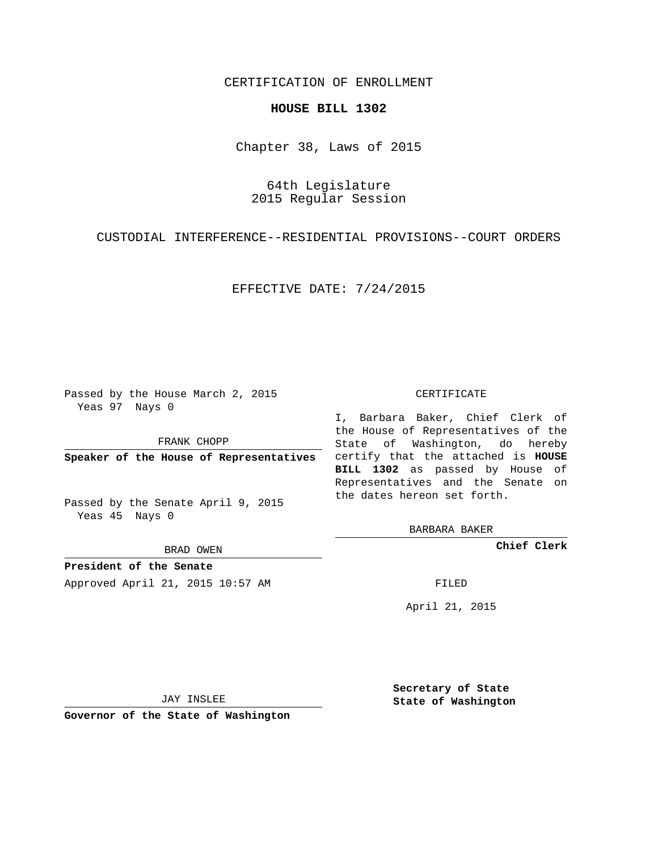## CERTIFICATION OF ENROLLMENT

## **HOUSE BILL 1302**

Chapter 38, Laws of 2015

64th Legislature 2015 Regular Session

CUSTODIAL INTERFERENCE--RESIDENTIAL PROVISIONS--COURT ORDERS

EFFECTIVE DATE: 7/24/2015

Passed by the House March 2, 2015 Yeas 97 Nays 0

FRANK CHOPP

Passed by the Senate April 9, 2015 Yeas 45 Nays 0

BRAD OWEN

**President of the Senate**

Approved April 21, 2015 10:57 AM FILED

## CERTIFICATE

**Speaker of the House of Representatives** certify that the attached is **HOUSE** I, Barbara Baker, Chief Clerk of the House of Representatives of the State of Washington, do hereby **BILL 1302** as passed by House of Representatives and the Senate on the dates hereon set forth.

BARBARA BAKER

**Chief Clerk**

April 21, 2015

JAY INSLEE

**Governor of the State of Washington**

**Secretary of State State of Washington**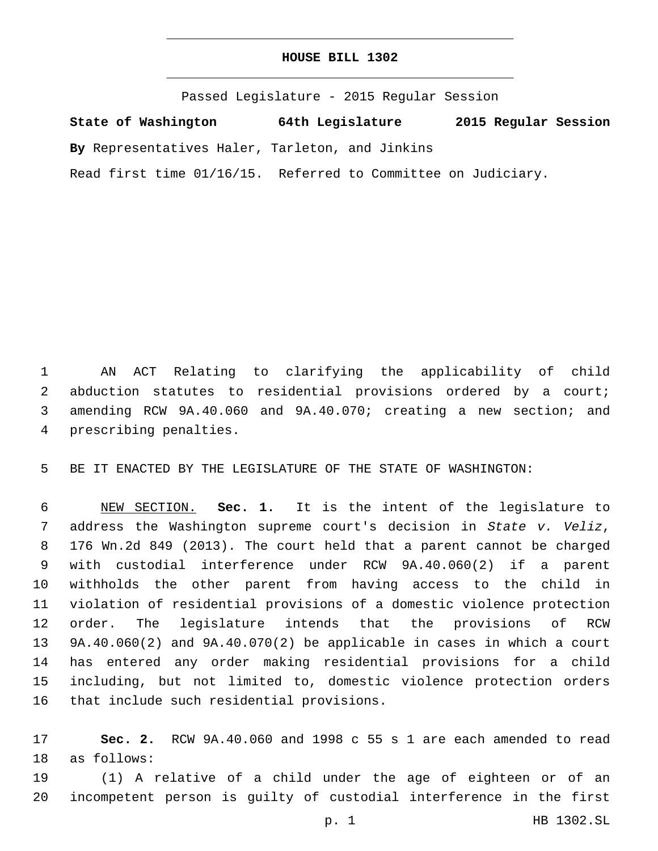## **HOUSE BILL 1302**

Passed Legislature - 2015 Regular Session

**State of Washington 64th Legislature 2015 Regular Session**

**By** Representatives Haler, Tarleton, and Jinkins

Read first time 01/16/15. Referred to Committee on Judiciary.

 AN ACT Relating to clarifying the applicability of child abduction statutes to residential provisions ordered by a court; amending RCW 9A.40.060 and 9A.40.070; creating a new section; and 4 prescribing penalties.

BE IT ENACTED BY THE LEGISLATURE OF THE STATE OF WASHINGTON:

 NEW SECTION. **Sec. 1.** It is the intent of the legislature to address the Washington supreme court's decision in *State v. Veliz*, 176 Wn.2d 849 (2013). The court held that a parent cannot be charged with custodial interference under RCW 9A.40.060(2) if a parent withholds the other parent from having access to the child in violation of residential provisions of a domestic violence protection order. The legislature intends that the provisions of RCW 9A.40.060(2) and 9A.40.070(2) be applicable in cases in which a court has entered any order making residential provisions for a child including, but not limited to, domestic violence protection orders that include such residential provisions.

 **Sec. 2.** RCW 9A.40.060 and 1998 c 55 s 1 are each amended to read 18 as follows:

 (1) A relative of a child under the age of eighteen or of an incompetent person is guilty of custodial interference in the first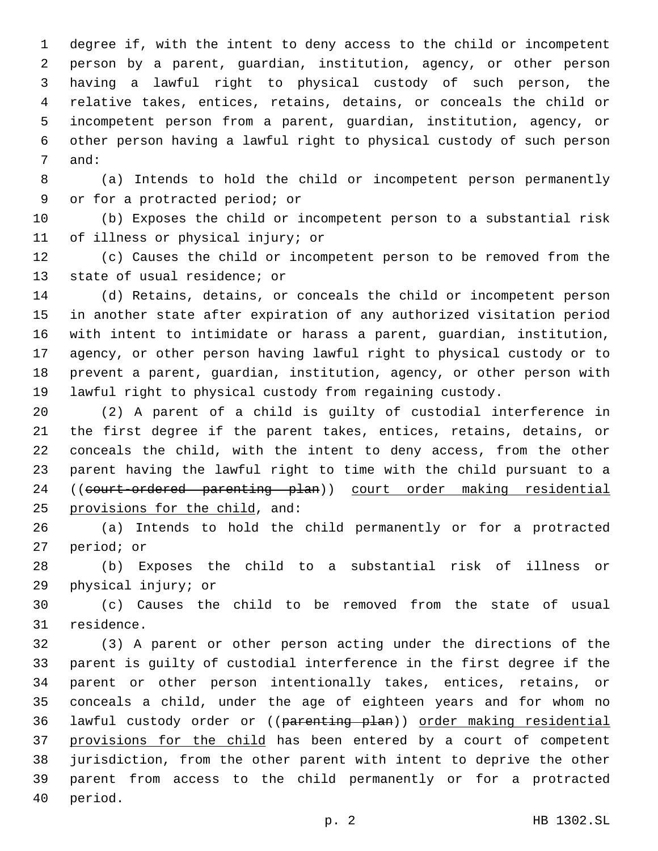degree if, with the intent to deny access to the child or incompetent person by a parent, guardian, institution, agency, or other person having a lawful right to physical custody of such person, the relative takes, entices, retains, detains, or conceals the child or incompetent person from a parent, guardian, institution, agency, or other person having a lawful right to physical custody of such person 7 and:

 (a) Intends to hold the child or incompetent person permanently 9 or for a protracted period; or

 (b) Exposes the child or incompetent person to a substantial risk 11 of illness or physical injury; or

 (c) Causes the child or incompetent person to be removed from the 13 state of usual residence; or

 (d) Retains, detains, or conceals the child or incompetent person in another state after expiration of any authorized visitation period with intent to intimidate or harass a parent, guardian, institution, agency, or other person having lawful right to physical custody or to prevent a parent, guardian, institution, agency, or other person with lawful right to physical custody from regaining custody.

 (2) A parent of a child is guilty of custodial interference in the first degree if the parent takes, entices, retains, detains, or conceals the child, with the intent to deny access, from the other parent having the lawful right to time with the child pursuant to a 24 ((court-ordered parenting plan)) court order making residential 25 provisions for the child, and:

 (a) Intends to hold the child permanently or for a protracted 27 period; or

 (b) Exposes the child to a substantial risk of illness or 29 physical injury; or

 (c) Causes the child to be removed from the state of usual 31 residence.

 (3) A parent or other person acting under the directions of the parent is guilty of custodial interference in the first degree if the parent or other person intentionally takes, entices, retains, or conceals a child, under the age of eighteen years and for whom no lawful custody order or ((parenting plan)) order making residential 37 provisions for the child has been entered by a court of competent jurisdiction, from the other parent with intent to deprive the other parent from access to the child permanently or for a protracted 40 period.

p. 2 HB 1302.SL